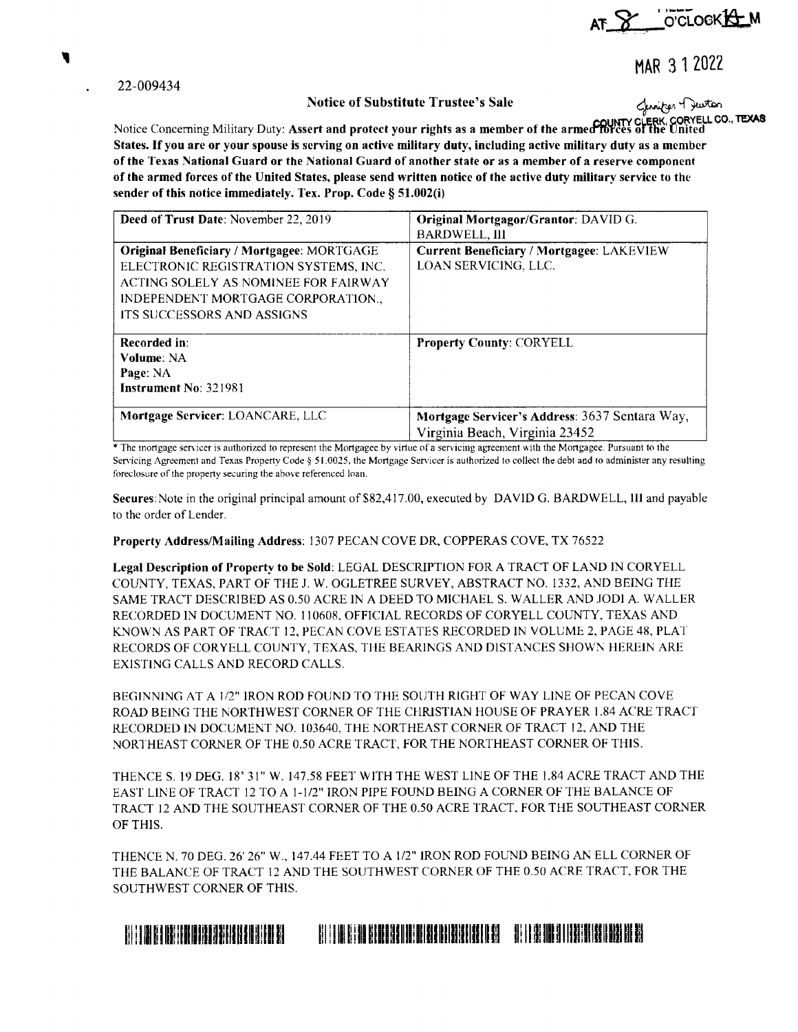

MAR 3 1 2022

22-009434

## **Notice of Substitute Trustee's Sale**

Genrifon Dewton ORYELL CO., TEXAS

Notice Concerning Military Duty: Assert and protect your rights as a member of the armed forces of the United States. If you are or your spouse is serving on active military duty, including active military duty as a member of the Texas National Guard or the National Guard of another state or as a member of a reserve component of the armed forces of the United States, please send written notice of the active duty military service to the sender of this notice immediately. Tex. Prop. Code § 51.002(i)

| Deed of Trust Date: November 22, 2019                                                                                                                                                                        | Original Mortgagor/Grantor: DAVID G.<br><b>BARDWELL, III</b>                     |
|--------------------------------------------------------------------------------------------------------------------------------------------------------------------------------------------------------------|----------------------------------------------------------------------------------|
| <b>Original Beneficiary / Mortgagee: MORTGAGE</b><br>ELECTRONIC REGISTRATION SYSTEMS, INC.<br>ACTING SOLELY AS NOMINEE FOR FAIRWAY<br>INDEPENDENT MORTGAGE CORPORATION.<br><b>ITS SUCCESSORS AND ASSIGNS</b> | <b>Current Beneficiary / Mortgagee: LAKEVIEW</b><br>LOAN SERVICING, LLC.         |
| Recorded in:<br>Volume: NA<br>Page: NA<br>Instrument No: 321981                                                                                                                                              | <b>Property County: CORYELL</b>                                                  |
| Mortgage Servicer: LOANCARE, LLC                                                                                                                                                                             | Mortgage Servicer's Address: 3637 Sentara Way,<br>Virginia Beach, Virginia 23452 |

\* The mortgage servicer is authorized to represent the Mortgagee by virtue of a servicing agreement with the Mortgagee. Pursuant to the Servicing Agreement and Texas Property Code § 51.0025, the Mortgage Servicer is authorized to collect the debt and to administer any resulting foreclosure of the property securing the above referenced loan.

Secures: Note in the original principal amount of \$82,417.00, executed by DAVID G. BARDWELL, III and payable to the order of Lender.

Property Address/Mailing Address: 1307 PECAN COVE DR, COPPERAS COVE, TX 76522

Legal Description of Property to be Sold: LEGAL DESCRIPTION FOR A TRACT OF LAND IN CORYELL COUNTY, TEXAS, PART OF THE J. W. OGLETREE SURVEY, ABSTRACT NO. 1332, AND BEING THE SAME TRACT DESCRIBED AS 0.50 ACRE IN A DEED TO MICHAEL S. WALLER AND JODI A. WALLER RECORDED IN DOCUMENT NO. 110608, OFFICIAL RECORDS OF CORYELL COUNTY, TEXAS AND KNOWN AS PART OF TRACT 12, PECAN COVE ESTATES RECORDED IN VOLUME 2, PAGE 48, PLAT RECORDS OF CORYELL COUNTY, TEXAS, THE BEARINGS AND DISTANCES SHOWN HEREIN ARE EXISTING CALLS AND RECORD CALLS.

BEGINNING AT A 1/2" IRON ROD FOUND TO THE SOUTH RIGHT OF WAY LINE OF PECAN COVE ROAD BEING THE NORTHWEST CORNER OF THE CHRISTIAN HOUSE OF PRAYER 1.84 ACRE TRACT RECORDED IN DOCUMENT NO. 103640, THE NORTHEAST CORNER OF TRACT 12, AND THE NORTHEAST CORNER OF THE 0.50 ACRE TRACT, FOR THE NORTHEAST CORNER OF THIS.

THENCE S. 19 DEG. 18' 31" W. 147.58 FEET WITH THE WEST LINE OF THE 1.84 ACRE TRACT AND THE EAST LINE OF TRACT 12 TO A 1-1/2" IRON PIPE FOUND BEING A CORNER OF THE BALANCE OF TRACT 12 AND THE SOUTHEAST CORNER OF THE 0.50 ACRE TRACT, FOR THE SOUTHEAST CORNER OF THIS.

THENCE N. 70 DEG. 26' 26" W., 147.44 FEET TO A 1/2" IRON ROD FOUND BEING AN ELL CORNER OF THE BALANCE OF TRACT 12 AND THE SOUTHWEST CORNER OF THE 0.50 ACRE TRACT, FOR THE SOUTHWEST CORNER OF THIS.

## <u> A TERRA ANDRIJA ANALIZI ANALIZI U ATALIJI A BILA ANALIZI A BI</u> <u> III. III. KA IBI III. KA IBI III. KA IBI III. K</u>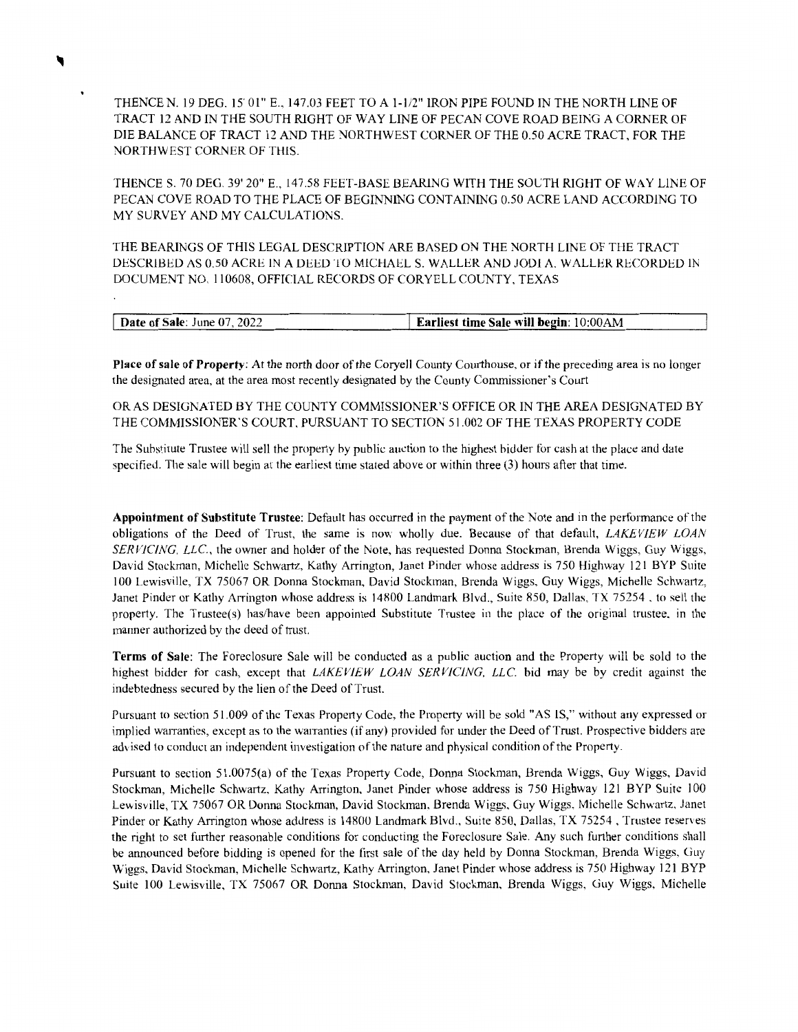THENCE N. 19 DEG. 15' 01" E., 147.03 FEET TO A 1-1/2" IRON PIPE FOUND IN THE NORTH LINE OF TRACT 12 AND IN THE SOUTH RIGHT OF WAY LINE OF PECAN COVE ROAD BEING A CORNER OF DIE BALANCE OF TRACT 12 AND THE NORTHWEST CORNER OF THE 0.50 ACRE TRACT, FOR THE NORTHWEST CORNER OF THIS.

THENCE S. 70 DEG. 39' 20" E., 147.58 FEET-BASE BEARING WITH THE SOLTH RIGHT OF WAY LINE OF PECAN COVE ROAD TO THE PLACE OF BEGINNING CONTAINING 0.50 ACRE LAND ACCORDING TO MY SURVEY AND MY CALCULATIONS.

THE BEARINGS OF THIS LEGAL DESCRIPTION ARE BASED ON THE NORTH LINE OF THE TRACT DESCRIBED AS 0.50 ACRE IN A DEED TO MICHAEL S. WALLER AND JODI A. WALLER RECORDED IN DOCUMENT NO. 110608, OFFICIAL RECORDS OF CORYELL COUNTY, TEXAS

| <b>Date of Sale:</b> June 07, 2022 | Earliest time Sale will begin: 10:00AM |
|------------------------------------|----------------------------------------|
|                                    |                                        |

**Place of sale of Property:** At the north door of the Coryell County Courthouse, or if the preceding area is no longer the designated area, at the area most recently designated by the County Commissioner's Court

OR AS DESIGNATED BY THE COUNTY COMMISSIONER'S OFFICE OR IN THE AREA DESIGNATED BY THE COMMISSIONER'S COURT, PURSUANT TO SECTION 51.002 OF THE TEXAS PROPERTY CODE

The Substitute Trustee will sell the property by public auction to the highest bidder for cash at the place and date specified. The sale will begin at the earliest time stated above or within three (3) hours after that time.

**Appointment of Substitute Trustee:** Default has occurred in the payment of the Note and in the performance of the obligations of the Deed of Trust, the same is now wholly due. Because of that default, *LAKEVIEW LOAN SERVICING. LLC.,* the owner and holder of the Note, has requested Donna Stockman, Brenda Wiggs, Guy Wiggs, David Stockman, Michelle Schwartz, Kathy Arrington, Janet Pinder whose address is 750 Highway 121 BYP Suite 100 Lewisville, TX 75067 OR Donna Stockman, David Stockman, Brenda Wiggs, Guy Wiggs, Michelle Schwartz, Janet Pinder or Kathy Arrington whose address is 14800 Landmark Blvd., Suite 850, Dallas, TX 75254, to sell the property. The Trustee(s) has/have been appointed Substitute Trustee in the place of the original trustee, in the manner authorized by the deed of trust.

**Terms of Sale:** The Foreclosure Sale will be conducted as a public auction and the Property will be sold to the highest bidder for cash, except that *LAKEVIEW LOAN SER VJCING. LLC* bid may be by credit against the indebtedness secured by the lien of the Deed of Trust.

Pursuant to section 51.009 of the Texas Property Code, the Property will be sold "AS IS," without any expressed or implied warranties, except as to the warranties (if any) provided for under the Deed of Trust. Prospective bidders are advised to conduct an independent investigation of the nature and physical condition of the Property.

Pursuant to section 51.0075(a) of the Texas Property Code, Donna Stockman, Brenda Wiggs, Guy Wiggs, David Stockman, Michelle Schwartz, Kathy Arrington, Janet Pinder whose address is 750 Highway 121 BYP Suite 100 Lewisville, TX 75067 OR Donna Stockman, David Stockman, Brenda Wiggs, Guy Wiggs, Michelle Schwartz, Janet Pinder or Kathy Arrington whose address is 14800 Landmark Blvd., Suite 850, Dallas, TX 75254, Trustee reserves the right to set further reasonable conditions for conducting the Foreclosure Sale. Any such further conditions shall be announced before bidding is opened for the first sale of the day held by Donna Stockman, Brenda Wiggs, Guy Wiggs, David Stockman, Michelle Schwartz, Kathy Arrington, Janet Pinder whose address is 750 Highway 121 BYP Suite 100 Lewisville, TX 75067 OR Donna Stockman, David Stockman, Brenda Wiggs, Guy Wiggs, Michelle